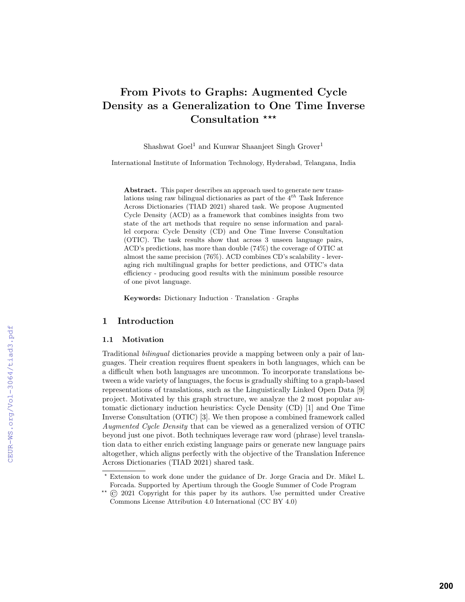# From Pivots to Graphs: Augmented Cycle Density as a Generalization to One Time Inverse Consultation \*\*\*

Shashwat  $Goel<sup>1</sup>$  and Kunwar Shaanjeet Singh Grover<sup>1</sup>

International Institute of Information Technology, Hyderabad, Telangana, India

Abstract. This paper describes an approach used to generate new translations using raw bilingual dictionaries as part of the  $4^{th}$  Task Inference Across Dictionaries (TIAD 2021) shared task. We propose Augmented Cycle Density (ACD) as a framework that combines insights from two state of the art methods that require no sense information and parallel corpora: Cycle Density (CD) and One Time Inverse Consultation (OTIC). The task results show that across 3 unseen language pairs, ACD's predictions, has more than double (74%) the coverage of OTIC at almost the same precision (76%). ACD combines CD's scalability - leveraging rich multilingual graphs for better predictions, and OTIC's data efficiency - producing good results with the minimum possible resource of one pivot language.

Keywords: Dictionary Induction · Translation · Graphs

# 1 Introduction

## 1.1 Motivation

Traditional *bilingual* dictionaries provide a mapping between only a pair of languages. Their creation requires fluent speakers in both languages, which can be a difficult when both languages are uncommon. To incorporate translations between a wide variety of languages, the focus is gradually shifting to a graph-based representations of translations, such as the Linguistically Linked Open Data [9] project. Motivated by this graph structure, we analyze the 2 most popular automatic dictionary induction heuristics: Cycle Density (CD) [1] and One Time Inverse Consultation (OTIC) [3]. We then propose a combined framework called Augmented Cycle Density that can be viewed as a generalized version of OTIC beyond just one pivot. Both techniques leverage raw word (phrase) level translation data to either enrich existing language pairs or generate new language pairs altogether, which aligns perfectly with the objective of the Translation Inference Across Dictionaries (TIAD 2021) shared task.

<sup>?</sup> Extension to work done under the guidance of Dr. Jorge Gracia and Dr. Mikel L. Forcada. Supported by Apertium through the Google Summer of Code Program

 $*$  (C) 2021 Copyright for this paper by its authors. Use permitted under Creative Commons License Attribution 4.0 International (CC BY 4.0)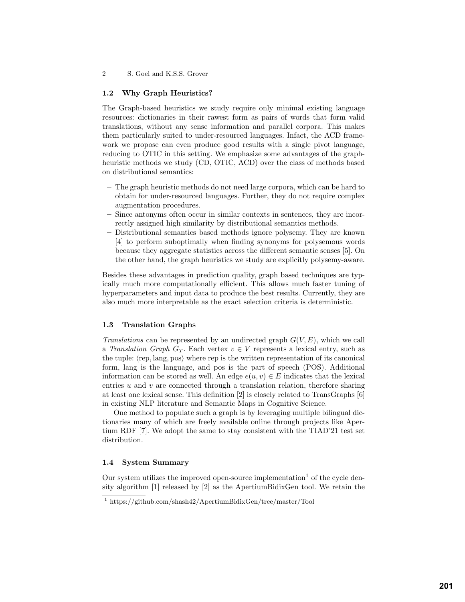#### 1.2 Why Graph Heuristics?

The Graph-based heuristics we study require only minimal existing language resources: dictionaries in their rawest form as pairs of words that form valid translations, without any sense information and parallel corpora. This makes them particularly suited to under-resourced languages. Infact, the ACD framework we propose can even produce good results with a single pivot language, reducing to OTIC in this setting. We emphasize some advantages of the graphheuristic methods we study (CD, OTIC, ACD) over the class of methods based on distributional semantics:

- The graph heuristic methods do not need large corpora, which can be hard to obtain for under-resourced languages. Further, they do not require complex augmentation procedures.
- Since antonyms often occur in similar contexts in sentences, they are incorrectly assigned high similarity by distributional semantics methods.
- Distributional semantics based methods ignore polysemy. They are known [4] to perform suboptimally when finding synonyms for polysemous words because they aggregate statistics across the different semantic senses [5]. On the other hand, the graph heuristics we study are explicitly polysemy-aware.

Besides these advantages in prediction quality, graph based techniques are typically much more computationally efficient. This allows much faster tuning of hyperparameters and input data to produce the best results. Currently, they are also much more interpretable as the exact selection criteria is deterministic.

## 1.3 Translation Graphs

Translations can be represented by an undirected graph  $G(V, E)$ , which we call a Translation Graph  $G_T$ . Each vertex  $v \in V$  represents a lexical entry, such as the tuple:  $\langle \text{rep}, \text{lang}, \text{pos} \rangle$  where rep is the written representation of its canonical form, lang is the language, and pos is the part of speech (POS). Additional information can be stored as well. An edge  $e(u, v) \in E$  indicates that the lexical entries  $u$  and  $v$  are connected through a translation relation, therefore sharing at least one lexical sense. This definition [2] is closely related to TransGraphs [6] in existing NLP literature and Semantic Maps in Cognitive Science.

One method to populate such a graph is by leveraging multiple bilingual dictionaries many of which are freely available online through projects like Apertium RDF [7]. We adopt the same to stay consistent with the TIAD'21 test set distribution.

## 1.4 System Summary

Our system utilizes the improved open-source implementation<sup>1</sup> of the cycle density algorithm [1] released by [2] as the ApertiumBidixGen tool. We retain the

<sup>1</sup> https://github.com/shash42/ApertiumBidixGen/tree/master/Tool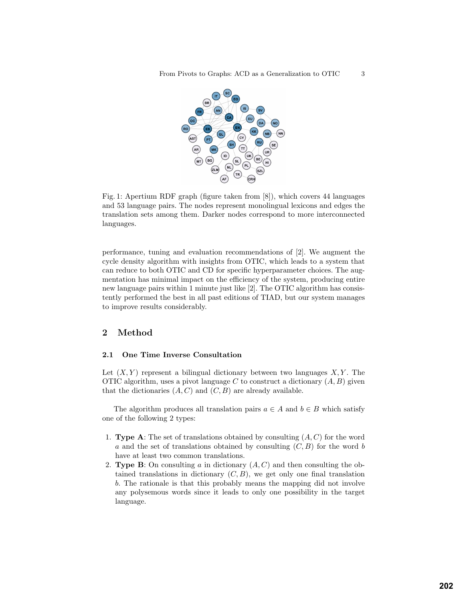

Fig. 1: Apertium RDF graph (figure taken from [8]), which covers 44 languages and 53 language pairs. The nodes represent monolingual lexicons and edges the translation sets among them. Darker nodes correspond to more interconnected languages.

performance, tuning and evaluation recommendations of [2]. We augment the cycle density algorithm with insights from OTIC, which leads to a system that can reduce to both OTIC and CD for specific hyperparameter choices. The augmentation has minimal impact on the efficiency of the system, producing entire new language pairs within 1 minute just like [2]. The OTIC algorithm has consistently performed the best in all past editions of TIAD, but our system manages to improve results considerably.

# 2 Method

## 2.1 One Time Inverse Consultation

Let  $(X, Y)$  represent a bilingual dictionary between two languages  $X, Y$ . The OTIC algorithm, uses a pivot language C to construct a dictionary  $(A, B)$  given that the dictionaries  $(A, C)$  and  $(C, B)$  are already available.

The algorithm produces all translation pairs  $a \in A$  and  $b \in B$  which satisfy one of the following 2 types:

- 1. **Type A:** The set of translations obtained by consulting  $(A, C)$  for the word a and the set of translations obtained by consulting  $(C, B)$  for the word b have at least two common translations.
- 2. **Type B**: On consulting a in dictionary  $(A, C)$  and then consulting the obtained translations in dictionary  $(C, B)$ , we get only one final translation b. The rationale is that this probably means the mapping did not involve any polysemous words since it leads to only one possibility in the target language.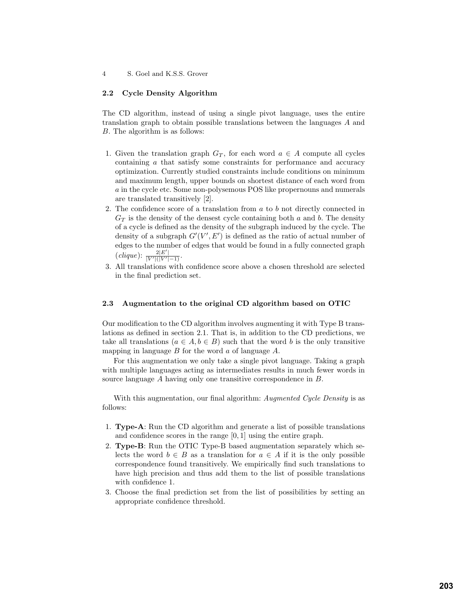#### 2.2 Cycle Density Algorithm

The CD algorithm, instead of using a single pivot language, uses the entire translation graph to obtain possible translations between the languages A and B. The algorithm is as follows:

- 1. Given the translation graph  $G_T$ , for each word  $a \in A$  compute all cycles containing a that satisfy some constraints for performance and accuracy optimization. Currently studied constraints include conditions on minimum and maximum length, upper bounds on shortest distance of each word from a in the cycle etc. Some non-polysemous POS like propernouns and numerals are translated transitively [2].
- 2. The confidence score of a translation from a to b not directly connected in  $G_T$  is the density of the densest cycle containing both a and b. The density of a cycle is defined as the density of the subgraph induced by the cycle. The density of a subgraph  $G'(V', E')$  is defined as the ratio of actual number of edges to the number of edges that would be found in a fully connected graph  $(clique)$ :  $\frac{2|E'|}{|V'|(|V'|-1)}$ .  $2|E'$
- 3. All translations with confidence score above a chosen threshold are selected in the final prediction set.

## 2.3 Augmentation to the original CD algorithm based on OTIC

Our modification to the CD algorithm involves augmenting it with Type B translations as defined in section 2.1. That is, in addition to the CD predictions, we take all translations  $(a \in A, b \in B)$  such that the word b is the only transitive mapping in language  $B$  for the word  $\alpha$  of language  $A$ .

For this augmentation we only take a single pivot language. Taking a graph with multiple languages acting as intermediates results in much fewer words in source language A having only one transitive correspondence in B.

With this augmentation, our final algorithm: Augmented Cycle Density is as follows:

- 1. Type-A: Run the CD algorithm and generate a list of possible translations and confidence scores in the range [0, 1] using the entire graph.
- 2. Type-B: Run the OTIC Type-B based augmentation separately which selects the word  $b \in B$  as a translation for  $a \in A$  if it is the only possible correspondence found transitively. We empirically find such translations to have high precision and thus add them to the list of possible translations with confidence 1.
- 3. Choose the final prediction set from the list of possibilities by setting an appropriate confidence threshold.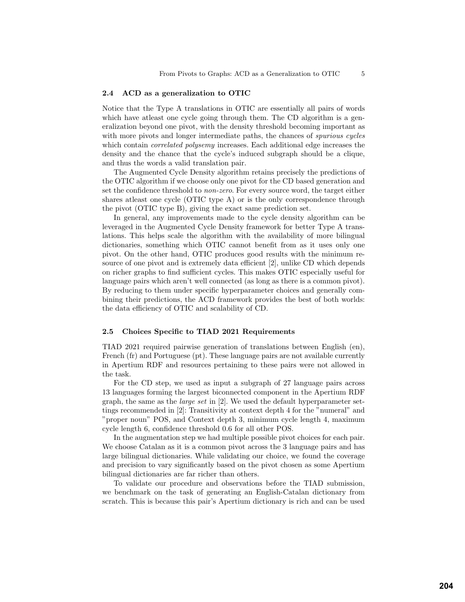## 2.4 ACD as a generalization to OTIC

Notice that the Type A translations in OTIC are essentially all pairs of words which have at least one cycle going through them. The CD algorithm is a generalization beyond one pivot, with the density threshold becoming important as with more pivots and longer intermediate paths, the chances of *spurious cycles* which contain *correlated polysemy* increases. Each additional edge increases the density and the chance that the cycle's induced subgraph should be a clique, and thus the words a valid translation pair.

The Augmented Cycle Density algorithm retains precisely the predictions of the OTIC algorithm if we choose only one pivot for the CD based generation and set the confidence threshold to non-zero. For every source word, the target either shares atleast one cycle (OTIC type A) or is the only correspondence through the pivot (OTIC type B), giving the exact same prediction set.

In general, any improvements made to the cycle density algorithm can be leveraged in the Augmented Cycle Density framework for better Type A translations. This helps scale the algorithm with the availability of more bilingual dictionaries, something which OTIC cannot benefit from as it uses only one pivot. On the other hand, OTIC produces good results with the minimum resource of one pivot and is extremely data efficient [2], unlike CD which depends on richer graphs to find sufficient cycles. This makes OTIC especially useful for language pairs which aren't well connected (as long as there is a common pivot). By reducing to them under specific hyperparameter choices and generally combining their predictions, the ACD framework provides the best of both worlds: the data efficiency of OTIC and scalability of CD.

#### 2.5 Choices Specific to TIAD 2021 Requirements

TIAD 2021 required pairwise generation of translations between English (en), French (fr) and Portuguese (pt). These language pairs are not available currently in Apertium RDF and resources pertaining to these pairs were not allowed in the task.

For the CD step, we used as input a subgraph of 27 language pairs across 13 languages forming the largest biconnected component in the Apertium RDF graph, the same as the large set in [2]. We used the default hyperparameter settings recommended in [2]: Transitivity at context depth 4 for the "numeral" and "proper noun" POS, and Context depth 3, minimum cycle length 4, maximum cycle length 6, confidence threshold 0.6 for all other POS.

In the augmentation step we had multiple possible pivot choices for each pair. We choose Catalan as it is a common pivot across the 3 language pairs and has large bilingual dictionaries. While validating our choice, we found the coverage and precision to vary significantly based on the pivot chosen as some Apertium bilingual dictionaries are far richer than others.

To validate our procedure and observations before the TIAD submission, we benchmark on the task of generating an English-Catalan dictionary from scratch. This is because this pair's Apertium dictionary is rich and can be used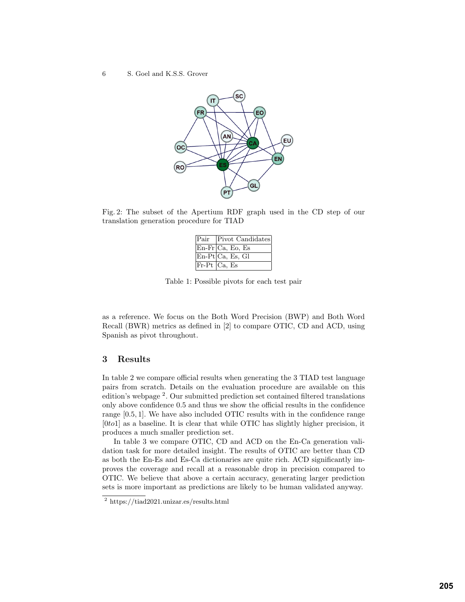#### 6 S. Goel and K.S.S. Grover



Fig. 2: The subset of the Apertium RDF graph used in the CD step of our translation generation procedure for TIAD

| Pair   Pivot Candidates              |
|--------------------------------------|
| $En-Fr Ca, Eo, Es$                   |
| $\overline{\text{En-Pt}}$ Ca, Es, Gl |
| $Fr-Pt$ $Ca, Es$                     |

Table 1: Possible pivots for each test pair

as a reference. We focus on the Both Word Precision (BWP) and Both Word Recall (BWR) metrics as defined in [2] to compare OTIC, CD and ACD, using Spanish as pivot throughout.

# 3 Results

In table 2 we compare official results when generating the 3 TIAD test language pairs from scratch. Details on the evaluation procedure are available on this edition's webpage <sup>2</sup> . Our submitted prediction set contained filtered translations only above confidence 0.5 and thus we show the official results in the confidence range [0.5, 1]. We have also included OTIC results with in the confidence range  $[0\text{tol}]$  as a baseline. It is clear that while OTIC has slightly higher precision, it produces a much smaller prediction set.

In table 3 we compare OTIC, CD and ACD on the En-Ca generation validation task for more detailed insight. The results of OTIC are better than CD as both the En-Es and Es-Ca dictionaries are quite rich. ACD significantly improves the coverage and recall at a reasonable drop in precision compared to OTIC. We believe that above a certain accuracy, generating larger prediction sets is more important as predictions are likely to be human validated anyway.

<sup>2</sup> https://tiad2021.unizar.es/results.html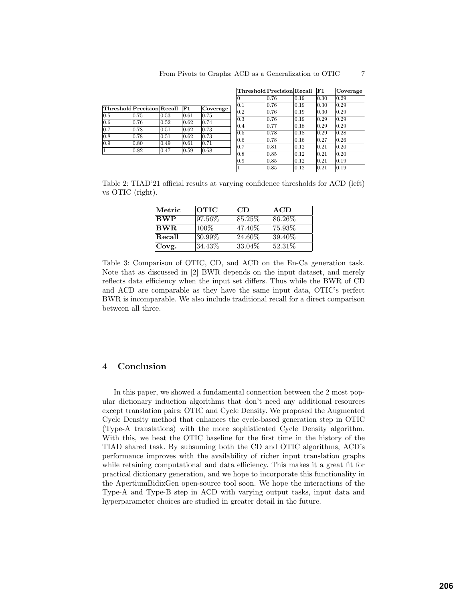| Threshold Precision Recall |      |      | $ {\bf F1} $ | Coverage |
|----------------------------|------|------|--------------|----------|
| 0.5                        | 0.75 | 0.53 | 0.61         | 0.75     |
| 0.6                        | 0.76 | 0.52 | 0.62         | 0.74     |
| 0.7                        | 0.78 | 0.51 | 0.62         | 0.73     |
| 0.8                        | 0.78 | 0.51 | 0.62         | 0.73     |
| 0.9                        | 0.80 | 0.49 | 0.61         | 0.71     |
| 1                          | 0.82 | 0.47 | 0.59         | 0.68     |

| Threshold Precision Recall |      |                | F1   | Coverage       |
|----------------------------|------|----------------|------|----------------|
| 0                          | 0.76 | 0.19           | 0.30 | 0.29           |
| 0.1                        | 0.76 | 0.19           | 0.30 | 0.29           |
| 0.2                        | 0.76 | 0.19           | 0.30 | 0.29           |
| 0.3                        | 0.76 | 0.19           | 0.29 | 0.29           |
| 0.4                        | 0.77 | 0.18           | 0.29 | 0.29           |
| $0.5^{\circ}$              | 0.78 | 0.18           | 0.29 | 0.28           |
| 0.6                        | 0.78 | 0.16           | 0.27 | $ 0.26\rangle$ |
| 0.7                        | 0.81 | $ 0.12\rangle$ | 0.21 | $ 0.20\rangle$ |
| 0.8                        | 0.85 | 0.12           | 0.21 | $ 0.20\rangle$ |
| 0.9                        | 0.85 | 0.12           | 0.21 | 0.19           |
| 1                          | 0.85 | 0.12           | 0.21 | 0.19           |

Table 2: TIAD'21 official results at varying confidence thresholds for ACD (left) vs OTIC (right).

| Metric     | <b>OTIC</b> | CD         | <b>ACD</b> |
|------------|-------------|------------|------------|
| <b>BWP</b> | 97.56%      | 85.25\%    | 86.26\%    |
| BWR.       | 100\%       | 47.40%     | 75.93%     |
| Recall     | 30.99%      | $ 24.60\%$ | 39.40\%    |
| Covg.      | 34.43%      | 33.04\%    | 52.31\%    |

Table 3: Comparison of OTIC, CD, and ACD on the En-Ca generation task. Note that as discussed in [2] BWR depends on the input dataset, and merely reflects data efficiency when the input set differs. Thus while the BWR of CD and ACD are comparable as they have the same input data, OTIC's perfect BWR is incomparable. We also include traditional recall for a direct comparison between all three.

## 4 Conclusion

In this paper, we showed a fundamental connection between the 2 most popular dictionary induction algorithms that don't need any additional resources except translation pairs: OTIC and Cycle Density. We proposed the Augmented Cycle Density method that enhances the cycle-based generation step in OTIC (Type-A translations) with the more sophisticated Cycle Density algorithm. With this, we beat the OTIC baseline for the first time in the history of the TIAD shared task. By subsuming both the CD and OTIC algorithms, ACD's performance improves with the availability of richer input translation graphs while retaining computational and data efficiency. This makes it a great fit for practical dictionary generation, and we hope to incorporate this functionality in the ApertiumBidixGen open-source tool soon. We hope the interactions of the Type-A and Type-B step in ACD with varying output tasks, input data and hyperparameter choices are studied in greater detail in the future.